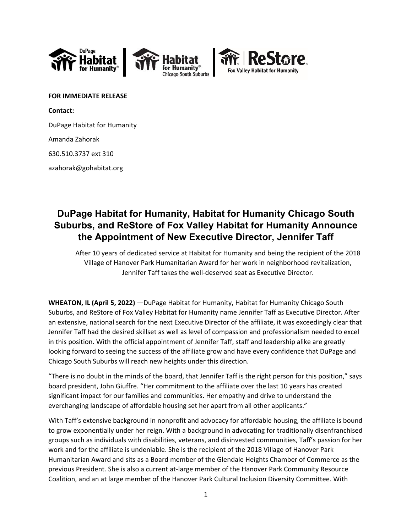



**FOR IMMEDIATE RELEASE Contact:** 

DuPage Habitat for Humanity

Amanda Zahorak

630.510.3737 ext 310

azahorak@gohabitat.org

## **DuPage Habitat for Humanity, Habitat for Humanity Chicago South Suburbs, and ReStore of Fox Valley Habitat for Humanity Announce the Appointment of New Executive Director, Jennifer Taff**

After 10 years of dedicated service at Habitat for Humanity and being the recipient of the 2018 Village of Hanover Park Humanitarian Award for her work in neighborhood revitalization, Jennifer Taff takes the well‐deserved seat as Executive Director.

**WHEATON, IL (April 5, 2022)** —DuPage Habitat for Humanity, Habitat for Humanity Chicago South Suburbs, and ReStore of Fox Valley Habitat for Humanity name Jennifer Taff as Executive Director. After an extensive, national search for the next Executive Director of the affiliate, it was exceedingly clear that Jennifer Taff had the desired skillset as well as level of compassion and professionalism needed to excel in this position. With the official appointment of Jennifer Taff, staff and leadership alike are greatly looking forward to seeing the success of the affiliate grow and have every confidence that DuPage and Chicago South Suburbs will reach new heights under this direction.

"There is no doubt in the minds of the board, that Jennifer Taff is the right person for this position," says board president, John Giuffre. "Her commitment to the affiliate over the last 10 years has created significant impact for our families and communities. Her empathy and drive to understand the everchanging landscape of affordable housing set her apart from all other applicants."

With Taff's extensive background in nonprofit and advocacy for affordable housing, the affiliate is bound to grow exponentially under her reign. With a background in advocating for traditionally disenfranchised groups such as individuals with disabilities, veterans, and disinvested communities, Taff's passion for her work and for the affiliate is undeniable. She is the recipient of the 2018 Village of Hanover Park Humanitarian Award and sits as a Board member of the Glendale Heights Chamber of Commerce as the previous President. She is also a current at-large member of the Hanover Park Community Resource Coalition, and an at large member of the Hanover Park Cultural Inclusion Diversity Committee. With